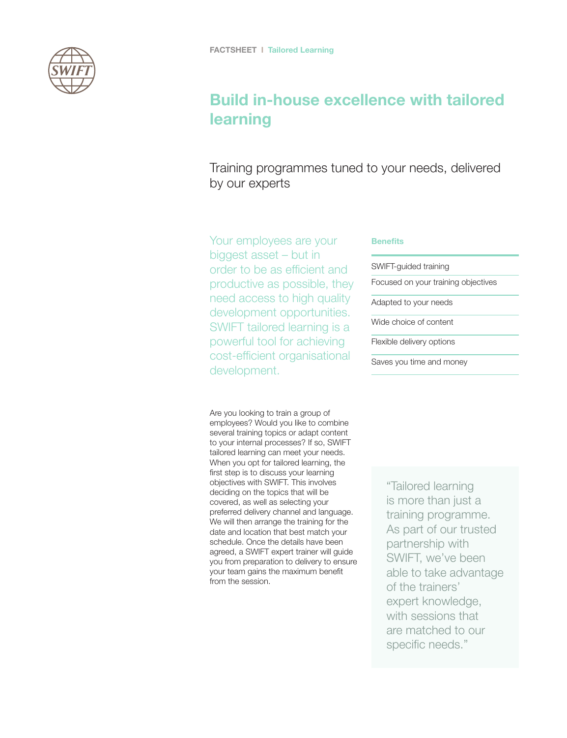# Build in-house excellence with tailored learning

Training programmes tuned to your needs, delivered by our experts

# Your employees are your

biggest asset – but in order to be as efficient and productive as possible, they need access to high quality development opportunities. SWIFT tailored learning is a powerful tool for achieving cost-efficient organisational development.

#### Are you looking to train a group of employees? Would you like to combine several training topics or adapt content to your internal processes? If so, SWIFT tailored learning can meet your needs. When you opt for tailored learning, the first step is to discuss your learning objectives with SWIFT. This involves deciding on the topics that will be covered, as well as selecting your preferred delivery channel and language. We will then arrange the training for the date and location that best match your schedule. Once the details have been agreed, a SWIFT expert trainer will guide you from preparation to delivery to ensure your team gains the maximum benefit from the session.

#### **Benefits**

SWIFT-guided training Focused on your training objectives Adapted to your needs Wide choice of content Flexible delivery options Saves you time and money

> "Tailored learning is more than just a training programme. As part of our trusted partnership with SWIFT, we've been able to take advantage of the trainers' expert knowledge, with sessions that are matched to our specific needs."